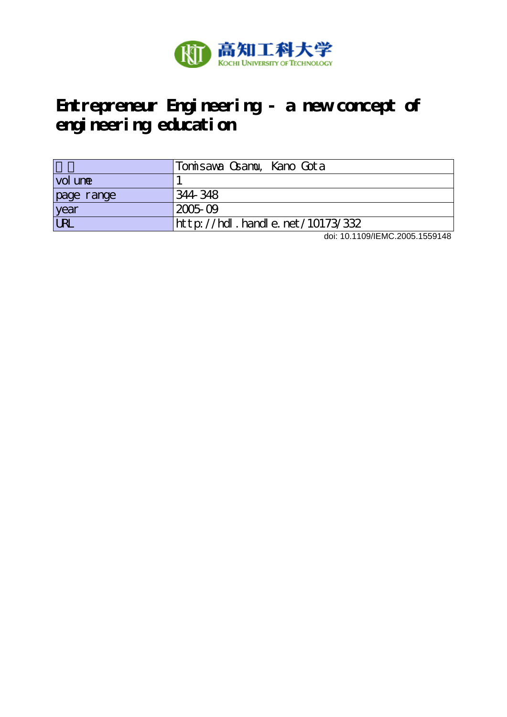

# **Entrepreneur Engineering - a new concept of engineering education**

|            | Tonisawa Osamu, Kano Gota           |
|------------|-------------------------------------|
| vol une    |                                     |
| page range | 344-348                             |
| year       | 200509                              |
| <b>URL</b> | ht t p://hdl. handle. net/10173/332 |

doi: 10.1109/IEMC.2005.1559148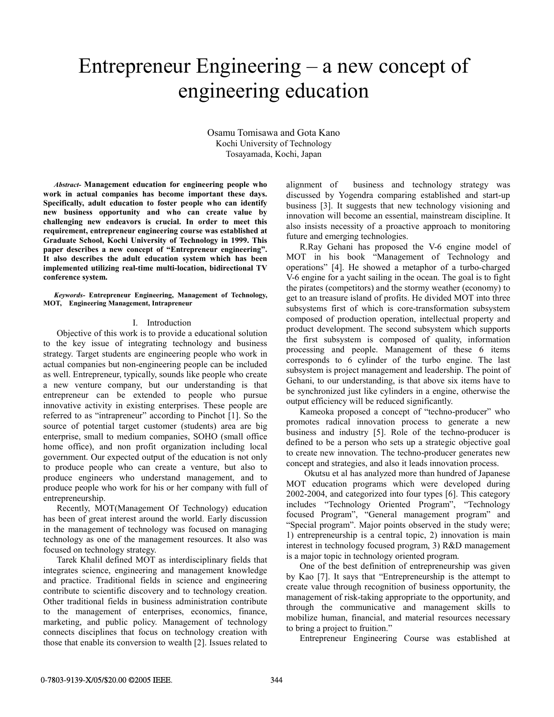# Entrepreneur Engineering – a new concept of engineering education

Osamu Tomisawa and Gota Kano Kochi University of Technology Tosayamada, Kochi, Japan

*Abstract-* **Management education for engineering people who work in actual companies has become important these days. Specifically, adult education to foster people who can identify new business opportunity and who can create value by challenging new endeavors is crucial. In order to meet this requirement, entrepreneur engineering course was established at Graduate School, Kochi University of Technology in 1999. This paper describes a new concept of "Entrepreneur engineering". It also describes the adult education system which has been implemented utilizing real-time multi-location, bidirectional TV conference system.** 

*Keywords-* **Entrepreneur Engineering, Management of Technology, MOT, Engineering Management, Intrapreneur** 

#### I. Introduction

Objective of this work is to provide a educational solution to the key issue of integrating technology and business strategy. Target students are engineering people who work in actual companies but non-engineering people can be included as well. Entrepreneur, typically, sounds like people who create a new venture company, but our understanding is that entrepreneur can be extended to people who pursue innovative activity in existing enterprises. These people are referred to as "intrapreneur" according to Pinchot [1]. So the source of potential target customer (students) area are big enterprise, small to medium companies, SOHO (small office home office), and non profit organization including local government. Our expected output of the education is not only to produce people who can create a venture, but also to produce engineers who understand management, and to produce people who work for his or her company with full of entrepreneurship.

Recently, MOT(Management Of Technology) education has been of great interest around the world. Early discussion in the management of technology was focused on managing technology as one of the management resources. It also was focused on technology strategy.

Tarek Khalil defined MOT as interdisciplinary fields that integrates science, engineering and management knowledge and practice. Traditional fields in science and engineering contribute to scientific discovery and to technology creation. Other traditional fields in business administration contribute to the management of enterprises, economics, finance, marketing, and public policy. Management of technology connects disciplines that focus on technology creation with those that enable its conversion to wealth [2]. Issues related to

alignment of business and technology strategy was discussed by Yogendra comparing established and start-up business [3]. It suggests that new technology visioning and innovation will become an essential, mainstream discipline. It also insists necessity of a proactive approach to monitoring future and emerging technologies.

R.Ray Gehani has proposed the V-6 engine model of MOT in his book "Management of Technology and operations" [4]. He showed a metaphor of a turbo-charged V-6 engine for a yacht sailing in the ocean. The goal is to fight the pirates (competitors) and the stormy weather (economy) to get to an treasure island of profits. He divided MOT into three subsystems first of which is core-transformation subsystem composed of production operation, intellectual property and product development. The second subsystem which supports the first subsystem is composed of quality, information processing and people. Management of these 6 items corresponds to 6 cylinder of the turbo engine. The last subsystem is project management and leadership. The point of Gehani, to our understanding, is that above six items have to be synchronized just like cylinders in a engine, otherwise the output efficiency will be reduced significantly.

Kameoka proposed a concept of "techno-producer" who promotes radical innovation process to generate a new business and industry [5]. Role of the techno-producer is defined to be a person who sets up a strategic objective goal to create new innovation. The techno-producer generates new concept and strategies, and also it leads innovation process.

 Okutsu et al has analyzed more than hundred of Japanese MOT education programs which were developed during 2002-2004, and categorized into four types [6]. This category includes "Technology Oriented Program", "Technology focused Program", "General management program" and "Special program". Major points observed in the study were; 1) entrepreneurship is a central topic, 2) innovation is main interest in technology focused program, 3) R&D management is a major topic in technology oriented program.

One of the best definition of entrepreneurship was given by Kao [7]. It says that "Entrepreneurship is the attempt to create value through recognition of business opportunity, the management of risk-taking appropriate to the opportunity, and through the communicative and management skills to mobilize human, financial, and material resources necessary to bring a project to fruition."

Entrepreneur Engineering Course was established at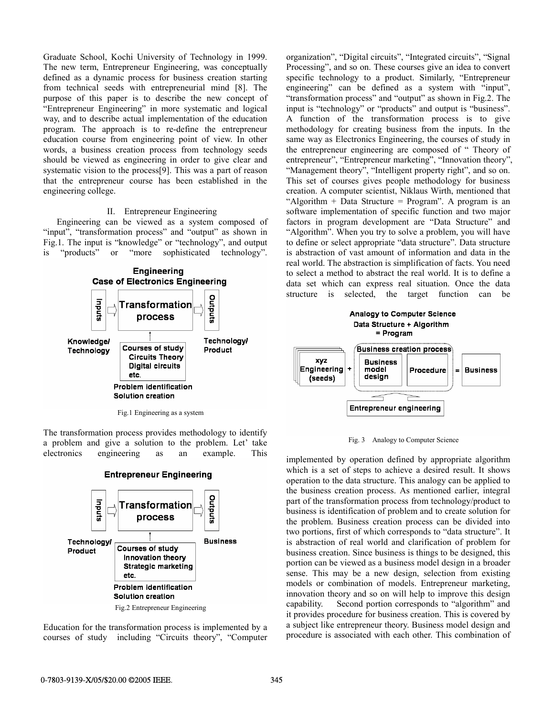Graduate School, Kochi University of Technology in 1999. The new term, Entrepreneur Engineering, was conceptually defined as a dynamic process for business creation starting from technical seeds with entrepreneurial mind [8]. The purpose of this paper is to describe the new concept of "Entrepreneur Engineering" in more systematic and logical way, and to describe actual implementation of the education program. The approach is to re-define the entrepreneur education course from engineering point of view. In other words, a business creation process from technology seeds should be viewed as engineering in order to give clear and systematic vision to the process[9]. This was a part of reason that the entrepreneur course has been established in the engineering college.

## II. Entrepreneur Engineering

Engineering can be viewed as a system composed of "input", "transformation process" and "output" as shown in Fig.1. The input is "knowledge" or "technology", and output is "products" or "more sophisticated technology".



Fig.1 Engineering as a system

The transformation process provides methodology to identify a problem and give a solution to the problem. Let' take electronics engineering as an example. This



Education for the transformation process is implemented by a courses of study including "Circuits theory", "Computer organization", "Digital circuits", "Integrated circuits", "Signal Processing", and so on. These courses give an idea to convert specific technology to a product. Similarly, "Entrepreneur engineering" can be defined as a system with "input", "transformation process" and "output" as shown in Fig.2. The input is "technology" or "products" and output is "business". A function of the transformation process is to give methodology for creating business from the inputs. In the same way as Electronics Engineering, the courses of study in the entrepreneur engineering are composed of " Theory of entrepreneur", "Entrepreneur marketing", "Innovation theory", "Management theory", "Intelligent property right", and so on. This set of courses gives people methodology for business creation. A computer scientist, Niklaus Wirth, mentioned that "Algorithm + Data Structure = Program". A program is an software implementation of specific function and two major factors in program development are "Data Structure" and "Algorithm". When you try to solve a problem, you will have to define or select appropriate "data structure". Data structure is abstraction of vast amount of information and data in the real world. The abstraction is simplification of facts. You need to select a method to abstract the real world. It is to define a data set which can express real situation. Once the data structure is selected, the target function can be



Fig. 3 Analogy to Computer Science

implemented by operation defined by appropriate algorithm which is a set of steps to achieve a desired result. It shows operation to the data structure. This analogy can be applied to the business creation process. As mentioned earlier, integral part of the transformation process from technology/product to business is identification of problem and to create solution for the problem. Business creation process can be divided into two portions, first of which corresponds to "data structure". It is abstraction of real world and clarification of problem for business creation. Since business is things to be designed, this portion can be viewed as a business model design in a broader sense. This may be a new design, selection from existing models or combination of models. Entrepreneur marketing, innovation theory and so on will help to improve this design capability. Second portion corresponds to "algorithm" and it provides procedure for business creation. This is covered by a subject like entrepreneur theory. Business model design and procedure is associated with each other. This combination of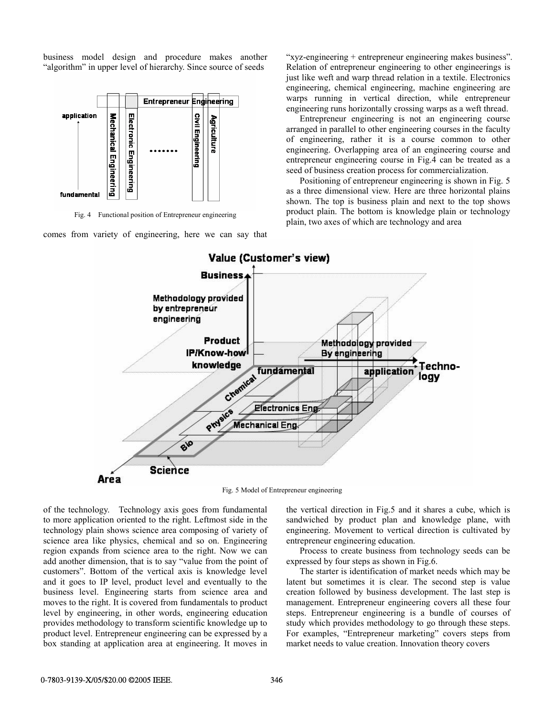business model design and procedure makes another "algorithm" in upper level of hierarchy. Since source of seeds



Fig. 4 Functional position of Entrepreneur engineering

comes from variety of engineering, here we can say that

"xyz-engineering + entrepreneur engineering makes business". Relation of entrepreneur engineering to other engineerings is just like weft and warp thread relation in a textile. Electronics engineering, chemical engineering, machine engineering are warps running in vertical direction, while entrepreneur engineering runs horizontally crossing warps as a weft thread.

Entrepreneur engineering is not an engineering course arranged in parallel to other engineering courses in the faculty of engineering, rather it is a course common to other engineering. Overlapping area of an engineering course and entrepreneur engineering course in Fig.4 can be treated as a seed of business creation process for commercialization.

Positioning of entrepreneur engineering is shown in Fig. 5 as a three dimensional view. Here are three horizontal plains shown. The top is business plain and next to the top shows product plain. The bottom is knowledge plain or technology plain, two axes of which are technology and area



Fig. 5 Model of Entrepreneur engineering

of the technology. Technology axis goes from fundamental to more application oriented to the right. Leftmost side in the technology plain shows science area composing of variety of science area like physics, chemical and so on. Engineering region expands from science area to the right. Now we can add another dimension, that is to say "value from the point of customers". Bottom of the vertical axis is knowledge level and it goes to IP level, product level and eventually to the business level. Engineering starts from science area and moves to the right. It is covered from fundamentals to product level by engineering, in other words, engineering education provides methodology to transform scientific knowledge up to product level. Entrepreneur engineering can be expressed by a box standing at application area at engineering. It moves in

the vertical direction in Fig.5 and it shares a cube, which is sandwiched by product plan and knowledge plane, with engineering. Movement to vertical direction is cultivated by entrepreneur engineering education.

Process to create business from technology seeds can be expressed by four steps as shown in Fig.6.

The starter is identification of market needs which may be latent but sometimes it is clear. The second step is value creation followed by business development. The last step is management. Entrepreneur engineering covers all these four steps. Entrepreneur engineering is a bundle of courses of study which provides methodology to go through these steps. For examples, "Entrepreneur marketing" covers steps from market needs to value creation. Innovation theory covers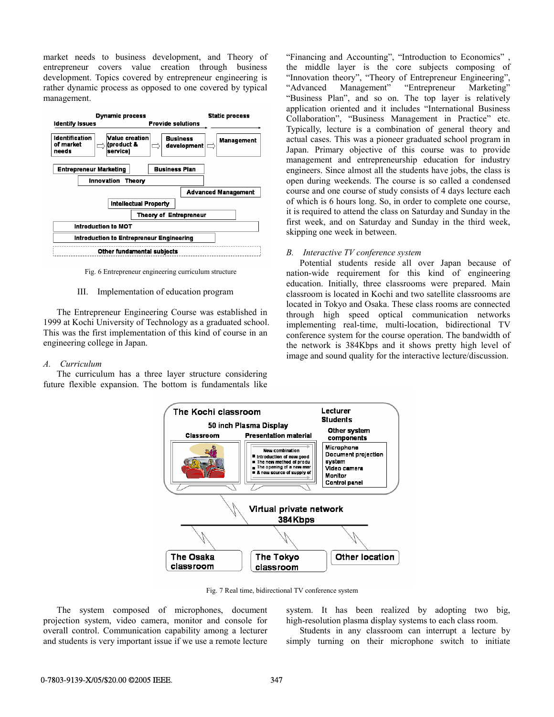market needs to business development, and Theory of entrepreneur covers value creation through business development. Topics covered by entrepreneur engineering is rather dynamic process as opposed to one covered by typical management.



Fig. 6 Entrepreneur engineering curriculum structure

### III. Implementation of education program

The Entrepreneur Engineering Course was established in 1999 at Kochi University of Technology as a graduated school. This was the first implementation of this kind of course in an engineering college in Japan.

#### *A. Curriculum*

The curriculum has a three layer structure considering future flexible expansion. The bottom is fundamentals like

"Financing and Accounting", "Introduction to Economics" , the middle layer is the core subjects composing of "Innovation theory", "Theory of Entrepreneur Engineering", "Advanced Management" "Entrepreneur Marketing" "Business Plan", and so on. The top layer is relatively application oriented and it includes "International Business Collaboration", "Business Management in Practice" etc. Typically, lecture is a combination of general theory and actual cases. This was a pioneer graduated school program in Japan. Primary objective of this course was to provide management and entrepreneurship education for industry engineers. Since almost all the students have jobs, the class is open during weekends. The course is so called a condensed course and one course of study consists of 4 days lecture each of which is 6 hours long. So, in order to complete one course, it is required to attend the class on Saturday and Sunday in the first week, and on Saturday and Sunday in the third week, skipping one week in between.

#### *B. Interactive TV conference system*

Potential students reside all over Japan because of nation-wide requirement for this kind of engineering education. Initially, three classrooms were prepared. Main classroom is located in Kochi and two satellite classrooms are located in Tokyo and Osaka. These class rooms are connected through high speed optical communication networks implementing real-time, multi-location, bidirectional TV conference system for the course operation. The bandwidth of the network is 384Kbps and it shows pretty high level of image and sound quality for the interactive lecture/discussion.



Fig. 7 Real time, bidirectional TV conference system

The system composed of microphones, document projection system, video camera, monitor and console for overall control. Communication capability among a lecturer and students is very important issue if we use a remote lecture system. It has been realized by adopting two big, high-resolution plasma display systems to each class room.

Students in any classroom can interrupt a lecture by simply turning on their microphone switch to initiate